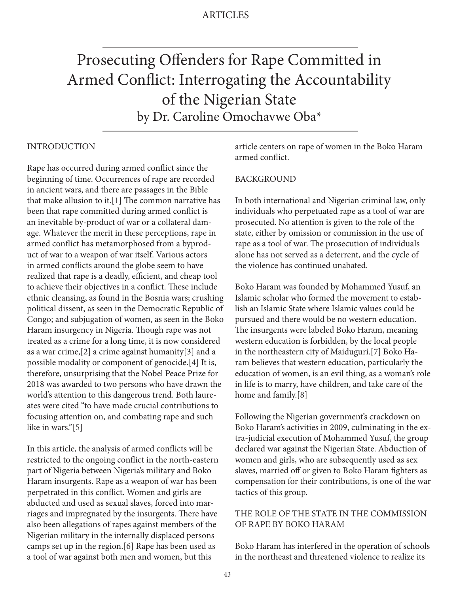# Prosecuting Offenders for Rape Committed in Armed Conflict: Interrogating the Accountability of the Nigerian State by Dr. Caroline Omochavwe Oba\*

## INTRODUCTION

Rape has occurred during armed conflict since the beginning of time. Occurrences of rape are recorded in ancient wars, and there are passages in the Bible that make allusion to it.[1] The common narrative has been that rape committed during armed conflict is an inevitable by-product of war or a collateral damage. Whatever the merit in these perceptions, rape in armed conflict has metamorphosed from a byproduct of war to a weapon of war itself. Various actors in armed conflicts around the globe seem to have realized that rape is a deadly, efficient, and cheap tool to achieve their objectives in a conflict. These include ethnic cleansing, as found in the Bosnia wars; crushing political dissent, as seen in the Democratic Republic of Congo; and subjugation of women, as seen in the Boko Haram insurgency in Nigeria. Though rape was not treated as a crime for a long time, it is now considered as a war crime,[2] a crime against humanity[3] and a possible modality or component of genocide.[4] It is, therefore, unsurprising that the Nobel Peace Prize for 2018 was awarded to two persons who have drawn the world's attention to this dangerous trend. Both laureates were cited "to have made crucial contributions to focusing attention on, and combating rape and such like in wars."[5]

In this article, the analysis of armed conflicts will be restricted to the ongoing conflict in the north-eastern part of Nigeria between Nigeria's military and Boko Haram insurgents. Rape as a weapon of war has been perpetrated in this conflict. Women and girls are abducted and used as sexual slaves, forced into marriages and impregnated by the insurgents. There have also been allegations of rapes against members of the Nigerian military in the internally displaced persons camps set up in the region.[6] Rape has been used as a tool of war against both men and women, but this

article centers on rape of women in the Boko Haram armed conflict.

## BACKGROUND

In both international and Nigerian criminal law, only individuals who perpetuated rape as a tool of war are prosecuted. No attention is given to the role of the state, either by omission or commission in the use of rape as a tool of war. The prosecution of individuals alone has not served as a deterrent, and the cycle of the violence has continued unabated.

Boko Haram was founded by Mohammed Yusuf, an Islamic scholar who formed the movement to establish an Islamic State where Islamic values could be pursued and there would be no western education. The insurgents were labeled Boko Haram, meaning western education is forbidden, by the local people in the northeastern city of Maiduguri.[7] Boko Haram believes that western education, particularly the education of women, is an evil thing, as a woman's role in life is to marry, have children, and take care of the home and family.[8]

Following the Nigerian government's crackdown on Boko Haram's activities in 2009, culminating in the extra-judicial execution of Mohammed Yusuf, the group declared war against the Nigerian State. Abduction of women and girls, who are subsequently used as sex slaves, married off or given to Boko Haram fighters as compensation for their contributions, is one of the war tactics of this group.

# THE ROLE OF THE STATE IN THE COMMISSION OF RAPE BY BOKO HARAM

Boko Haram has interfered in the operation of schools in the northeast and threatened violence to realize its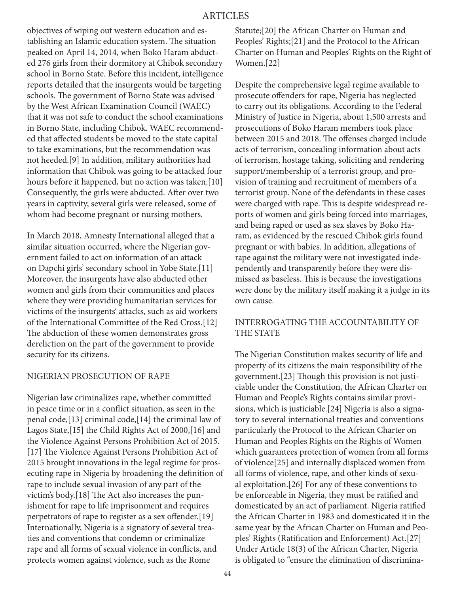objectives of wiping out western education and establishing an Islamic education system. The situation peaked on April 14, 2014, when Boko Haram abducted 276 girls from their dormitory at Chibok secondary school in Borno State. Before this incident, intelligence reports detailed that the insurgents would be targeting schools. The government of Borno State was advised by the West African Examination Council (WAEC) that it was not safe to conduct the school examinations in Borno State, including Chibok. WAEC recommended that affected students be moved to the state capital to take examinations, but the recommendation was not heeded.[9] In addition, military authorities had information that Chibok was going to be attacked four hours before it happened, but no action was taken.[10] Consequently, the girls were abducted. After over two years in captivity, several girls were released, some of whom had become pregnant or nursing mothers.

In March 2018, Amnesty International alleged that a similar situation occurred, where the Nigerian government failed to act on information of an attack on Dapchi girls' secondary school in Yobe State.[11] Moreover, the insurgents have also abducted other women and girls from their communities and places where they were providing humanitarian services for victims of the insurgents' attacks, such as aid workers of the International Committee of the Red Cross.[12] The abduction of these women demonstrates gross dereliction on the part of the government to provide security for its citizens.

#### NIGERIAN PROSECUTION OF RAPE

Nigerian law criminalizes rape, whether committed in peace time or in a conflict situation, as seen in the penal code,[13] criminal code,[14] the criminal law of Lagos State,[15] the Child Rights Act of 2000,[16] and the Violence Against Persons Prohibition Act of 2015. [17] The Violence Against Persons Prohibition Act of 2015 brought innovations in the legal regime for prosecuting rape in Nigeria by broadening the definition of rape to include sexual invasion of any part of the victim's body.[18] The Act also increases the punishment for rape to life imprisonment and requires perpetrators of rape to register as a sex offender.[19] Internationally, Nigeria is a signatory of several treaties and conventions that condemn or criminalize rape and all forms of sexual violence in conflicts, and protects women against violence, such as the Rome

Statute;[20] the African Charter on Human and Peoples' Rights;[21] and the Protocol to the African Charter on Human and Peoples' Rights on the Right of Women.[22]

Despite the comprehensive legal regime available to prosecute offenders for rape, Nigeria has neglected to carry out its obligations. According to the Federal Ministry of Justice in Nigeria, about 1,500 arrests and prosecutions of Boko Haram members took place between 2015 and 2018. The offenses charged include acts of terrorism, concealing information about acts of terrorism, hostage taking, soliciting and rendering support/membership of a terrorist group, and provision of training and recruitment of members of a terrorist group. None of the defendants in these cases were charged with rape. This is despite widespread reports of women and girls being forced into marriages, and being raped or used as sex slaves by Boko Haram, as evidenced by the rescued Chibok girls found pregnant or with babies. In addition, allegations of rape against the military were not investigated independently and transparently before they were dismissed as baseless. This is because the investigations were done by the military itself making it a judge in its own cause.

# INTERROGATING THE ACCOUNTABILITY OF THE STATE

The Nigerian Constitution makes security of life and property of its citizens the main responsibility of the government.[23] Though this provision is not justiciable under the Constitution, the African Charter on Human and People's Rights contains similar provisions, which is justiciable.[24] Nigeria is also a signatory to several international treaties and conventions particularly the Protocol to the African Charter on Human and Peoples Rights on the Rights of Women which guarantees protection of women from all forms of violence[25] and internally displaced women from all forms of violence, rape, and other kinds of sexual exploitation.[26] For any of these conventions to be enforceable in Nigeria, they must be ratified and domesticated by an act of parliament. Nigeria ratified the African Charter in 1983 and domesticated it in the same year by the African Charter on Human and Peoples' Rights (Ratification and Enforcement) Act.[27] Under Article 18(3) of the African Charter, Nigeria is obligated to "ensure the elimination of discrimina-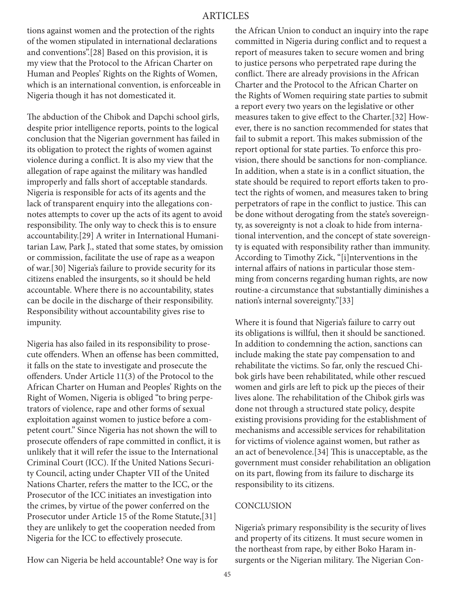# ARTICLES

tions against women and the protection of the rights of the women stipulated in international declarations and conventions".[28] Based on this provision, it is my view that the Protocol to the African Charter on Human and Peoples' Rights on the Rights of Women, which is an international convention, is enforceable in Nigeria though it has not domesticated it.

The abduction of the Chibok and Dapchi school girls, despite prior intelligence reports, points to the logical conclusion that the Nigerian government has failed in its obligation to protect the rights of women against violence during a conflict. It is also my view that the allegation of rape against the military was handled improperly and falls short of acceptable standards. Nigeria is responsible for acts of its agents and the lack of transparent enquiry into the allegations connotes attempts to cover up the acts of its agent to avoid responsibility. The only way to check this is to ensure accountability.[29] A writer in International Humanitarian Law, Park J., stated that some states, by omission or commission, facilitate the use of rape as a weapon of war.[30] Nigeria's failure to provide security for its citizens enabled the insurgents, so it should be held accountable. Where there is no accountability, states can be docile in the discharge of their responsibility. Responsibility without accountability gives rise to impunity.

Nigeria has also failed in its responsibility to prosecute offenders. When an offense has been committed, it falls on the state to investigate and prosecute the offenders. Under Article 11(3) of the Protocol to the African Charter on Human and Peoples' Rights on the Right of Women, Nigeria is obliged "to bring perpetrators of violence, rape and other forms of sexual exploitation against women to justice before a competent court." Since Nigeria has not shown the will to prosecute offenders of rape committed in conflict, it is unlikely that it will refer the issue to the International Criminal Court (ICC). If the United Nations Security Council, acting under Chapter VII of the United Nations Charter, refers the matter to the ICC, or the Prosecutor of the ICC initiates an investigation into the crimes, by virtue of the power conferred on the Prosecutor under Article 15 of the Rome Statute,[31] they are unlikely to get the cooperation needed from Nigeria for the ICC to effectively prosecute.

How can Nigeria be held accountable? One way is for

the African Union to conduct an inquiry into the rape committed in Nigeria during conflict and to request a report of measures taken to secure women and bring to justice persons who perpetrated rape during the conflict. There are already provisions in the African Charter and the Protocol to the African Charter on the Rights of Women requiring state parties to submit a report every two years on the legislative or other measures taken to give effect to the Charter.[32] However, there is no sanction recommended for states that fail to submit a report. This makes submission of the report optional for state parties. To enforce this provision, there should be sanctions for non-compliance. In addition, when a state is in a conflict situation, the state should be required to report efforts taken to protect the rights of women, and measures taken to bring perpetrators of rape in the conflict to justice. This can be done without derogating from the state's sovereignty, as sovereignty is not a cloak to hide from international intervention, and the concept of state sovereignty is equated with responsibility rather than immunity. According to Timothy Zick, "[i]nterventions in the internal affairs of nations in particular those stemming from concerns regarding human rights, are now routine-a circumstance that substantially diminishes a nation's internal sovereignty."[33]

Where it is found that Nigeria's failure to carry out its obligations is willful, then it should be sanctioned. In addition to condemning the action, sanctions can include making the state pay compensation to and rehabilitate the victims. So far, only the rescued Chibok girls have been rehabilitated, while other rescued women and girls are left to pick up the pieces of their lives alone. The rehabilitation of the Chibok girls was done not through a structured state policy, despite existing provisions providing for the establishment of mechanisms and accessible services for rehabilitation for victims of violence against women, but rather as an act of benevolence.[34] This is unacceptable, as the government must consider rehabilitation an obligation on its part, flowing from its failure to discharge its responsibility to its citizens.

## **CONCLUSION**

Nigeria's primary responsibility is the security of lives and property of its citizens. It must secure women in the northeast from rape, by either Boko Haram insurgents or the Nigerian military. The Nigerian Con-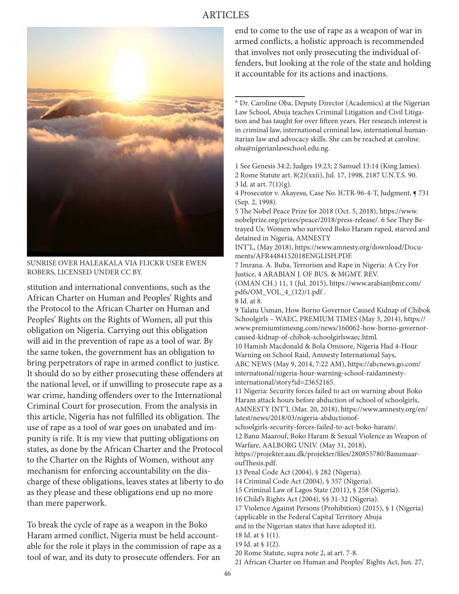# ARTICLES



SUNRISE OVER HALEAKALA VIA FLICKR USER EWEN ROBERS, LICENSED UNDER CC BY.

stitution and international conventions, such as the African Charter on Human and Peoples' Rights and the Protocol to the African Charter on Human and Peoples' Rights on the Rights of Women, all put this obligation on Nigeria. Carrying out this obligation will aid in the prevention of rape as a tool of war. By the same token, the government has an obligation to bring perpetrators of rape in armed conflict to justice. It should do so by either prosecuting these offenders at the national level, or if unwilling to prosecute rape as a war crime, handing offenders over to the International Criminal Court for prosecution. From the analysis in this article, Nigeria has not fulfilled its obligation. The use of rape as a tool of war goes on unabated and impunity is rife. It is my view that putting obligations on states, as done by the African Charter and the Protocol to the Charter on the Rights of Women, without any mechanism for enforcing accountability on the discharge of these obligations, leaves states at liberty to do as they please and these obligations end up no more than mere paperwork.

To break the cycle of rape as a weapon in the Boko Haram armed conflict, Nigeria must be held accountable for the role it plays in the commission of rape as a tool of war, and its duty to prosecute offenders. For an

end to come to the use of rape as a weapon of war in armed conflicts, a holistic approach is recommended that involves not only prosecuting the individual offenders, but looking at the role of the state and holding it accountable for its actions and inactions.

\* Dr. Caroline Oba, Deputy Director (Academics) at the Nigerian Law School, Abuja teaches Criminal Litigation and Civil Litigation and has taught for over fifteen years. Her research interest is in criminal law, international criminal law, international humanitarian law and advocacy skills. She can be reached at caroline. oba@nigerianlawschool.edu.ng.

1 See Genesis 34:2; Judges 19:23; 2 Samuel 13:14 (King James). 2 Rome Statute art. 8(2)(xxii), Jul. 17, 1998, 2187 U.N.T.S. 90. 3 Id. at art. 7(1)(g).

4 Prosecutor v. Akayesu, Case No. ICTR-96-4-T, Judgment,  $9731$ (Sep. 2, 1998).

5 The Nobel Peace Prize for 2018 (Oct. 5, 2018), https://www. nobelprize.org/prizes/peace/2018/press-release/. 6 See They Betrayed Us: Women who survived Boko Haram raped, starved and detained in Nigeria, AMNESTY

INT'L, (May 2018), https://www.amnesty.org/download/Documents/AFR4484152018ENGLISH.PDF.

7 Imrana. A. Buba, Terrorism and Rape in Nigeria: A Cry For Justice, 4 ARABIAN J. OF BUS. & MGMT. REV.

(OMAN CH.) 11, 1 (Jul. 2015), https://www.arabianjbmr.com/ pdfs/OM\_VOL\_4\_(12)/1.pdf .

8 Id. at 8.

9 Talatu Usman, How Borno Governor Caused Kidnap of Chibok Schoolgirls – WAEC, PREMIUM TIMES (May 3, 2014), https:// www.premiumtimesng.com/news/160062-how-borno-governorcaused-kidnap-of-chibok-schoolgirlswaec.html.

10 Hamish Macdonald & Bola Omisore, Nigeria Had 4-Hour Warning on School Raid, Amnesty International Says, ABC NEWS (May 9, 2014, 7:22 AM), https://abcnews.go.com/ international/nigeria-hour-warning-school-raidamnestyinternational/story?id=23652165.

11 Nigeria: Security forces failed to act on warning about Boko Haram attack hours before abduction of school of schoolgirls, AMNESTY INT'L (Mar. 20, 2018), https://www.amnesty.org/en/ latest/news/2018/03/nigeria-abductionof-

schoolgirls-security-forces-failed-to-act-boko-haram/.

12 Banu Maarouf, Boko Haram & Sexual Violence as Weapon of Warfare, AALBORG UNIV. (May 31, 2018),

https://projekter.aau.dk/projekter/files/280855780/BanumaaroufThesis.pdf.

13 Penal Code Act (2004), § 282 (Nigeria).

14 Criminal Code Act (2004), § 357 (Nigeria).

15 Criminal Law of Lagos State (2011), § 258 (Nigeria).

16 Child's Rights Act (2004), §§ 31-32 (Nigeria).

17 Violence Against Persons (Prohibition) (2015), § 1 (Nigeria)

(applicable in the Federal Capital Territory Abuja

and in the Nigerian states that have adopted it).

18 Id. at § 1(1).

19 Id. at § 1(2).

20 Rome Statute, supra note 2, at art. 7-8.

21 African Charter on Human and Peoples' Rights Act, Jun. 27,